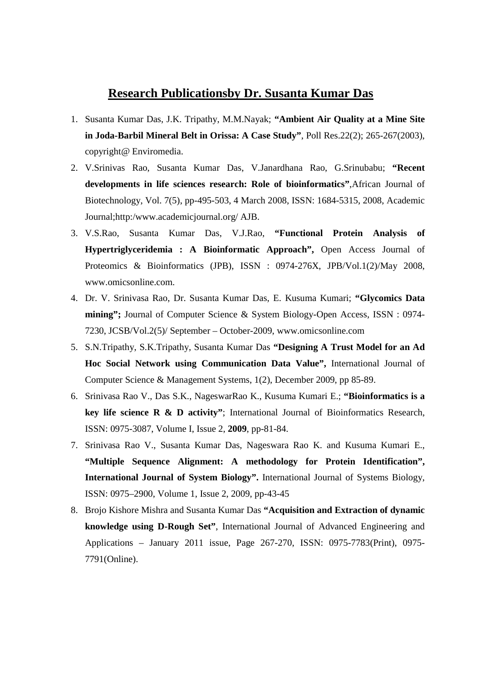## **Research Publicationsby Dr. Susanta Kumar Das**

- 1. Susanta Kumar Das, J.K. Tripathy, M.M.Nayak; **"Ambient Air Quality at a Mine Site in Joda-Barbil Mineral Belt in Orissa: A Case Study"**, Poll Res.22(2); 265-267(2003), copyright@ Enviromedia.
- 2. V.Srinivas Rao, Susanta Kumar Das, V.Janardhana Rao, G.Srinubabu; **"Recent developments in life sciences research: Role of bioinformatics"**,African Journal of Biotechnology, Vol. 7(5), pp-495-503, 4 March 2008, ISSN: 1684-5315, 2008, Academic Journal;http:/www.academicjournal.org/ AJB.
- 3. V.S.Rao, Susanta Kumar Das, V.J.Rao, **"Functional Protein Analysis of Hypertriglyceridemia : A Bioinformatic Approach",** Open Access Journal of Proteomics & Bioinformatics (JPB), ISSN : 0974-276X, JPB/Vol.1(2)/May 2008, www.omicsonline.com
- 4. Dr. V. Srinivasa Rao, Dr. Susanta Kumar Das, E. Kusuma Kumari; **"Glycomics Data mining";** Journal of Computer Science & System Biology-Open Access, ISSN : 0974- 7230, JCSB/Vol.2(5)/ September – October-2009, www.omicsonline.com
- 5. S.N.Tripathy, S.K.Tripathy, Susanta Kumar Das **"Designing A Trust Model for an Ad Hoc Social Network using Communication Data Value",** International Journal of Computer Science & Management Systems, 1(2), December 2009, pp 85-89.
- 6. Srinivasa Rao V., Das S.K., NageswarRao K., Kusuma Kumari E.; **"Bioinformatics is a key life science R & D activity"**; International Journal of Bioinformatics Research, ISSN: 0975-3087, Volume I, Issue 2, **2009**, pp-81-84.
- 7. Srinivasa Rao V., Susanta Kumar Das, Nageswara Rao K. and Kusuma Kumari E., **"Multiple Sequence Alignment: A methodology for Protein Identification", International Journal of System Biology".** International Journal of Systems Biology, ISSN: 0975–2900, Volume 1, Issue 2, 2009, pp-43-45
- 8. Brojo Kishore Mishra and Susanta Kumar Das **"Acquisition and Extraction of dynamic knowledge using D-Rough Set"**, International Journal of Advanced Engineering and Applications – January 2011 issue, Page 267-270, ISSN: 0975-7783(Print), 0975- 7791(Online).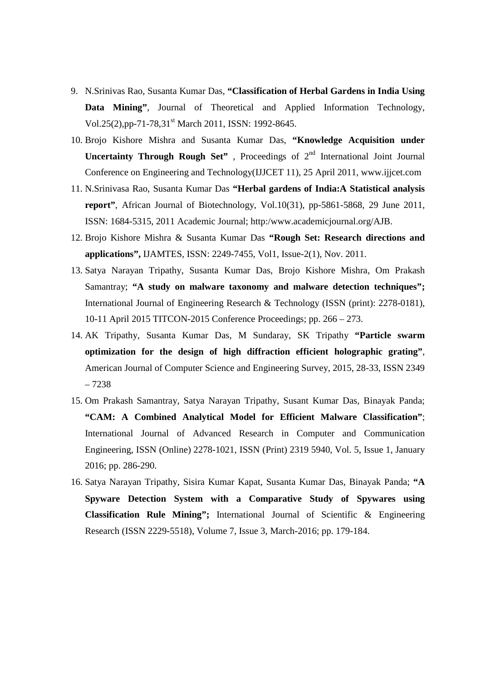- 9. N.Srinivas Rao, Susanta Kumar Das, **"Classification of Herbal Gardens in India Using Data Mining"**, Journal of Theoretical and Applied Information Technology, Vol.25(2), pp-71-78,31<sup>st</sup> March 2011, ISSN: 1992-8645.
- 10. Brojo Kishore Mishra and Susanta Kumar Das, **"Knowledge Acquisition under Uncertainty Through Rough Set"**, Proceedings of 2<sup>nd</sup> International Joint Journal Conference on Engineering and Technology(IJJCET 11), 25 April 2011, www.ijjcet.com
- 11. N.Srinivasa Rao, Susanta Kumar Das **"Herbal gardens of India:A Statistical analysis report"**, African Journal of Biotechnology, Vol.10(31), pp-5861-5868, 29 June 2011, ISSN: 1684-5315, 2011 Academic Journal; http:/www.academicjournal.org/AJB.
- 12. Brojo Kishore Mishra & Susanta Kumar Das **"Rough Set: Research directions and applications",** IJAMTES, ISSN: 2249-7455, Vol1, Issue-2(1), Nov. 2011.
- 13. Satya Narayan Tripathy, Susanta Kumar Das, Brojo Kishore Mishra, Om Prakash Samantray; **"A study on malware taxonomy and malware detection techniques";** International Journal of Engineering Research & Technology (ISSN (print): 2278-0181), 10-11 April 2015 TITCON-2015 Conference Proceedings; pp. 266 – 273.
- 14. AK Tripathy, Susanta Kumar Das, M Sundaray, SK Tripathy **"Particle swarm optimization for the design of high diffraction efficient holographic grating"**, American Journal of Computer Science and Engineering Survey, 2015, 28-33, ISSN 2349 – 7238
- 15. Om Prakash Samantray, Satya Narayan Tripathy, Susant Kumar Das, Binayak Panda; **"CAM: A Combined Analytical Model for Efficient Malware Classification"**; International Journal of Advanced Research in Computer and Communication Engineering, ISSN (Online) 2278-1021, ISSN (Print) 2319 5940, Vol. 5, Issue 1, January 2016; pp. 286-290.
- 16. Satya Narayan Tripathy, Sisira Kumar Kapat, Susanta Kumar Das, Binayak Panda; **"A Spyware Detection System with a Comparative Study of Spywares using Classification Rule Mining";** International Journal of Scientific & Engineering Research (ISSN 2229-5518), Volume 7, Issue 3, March-2016; pp. 179-184.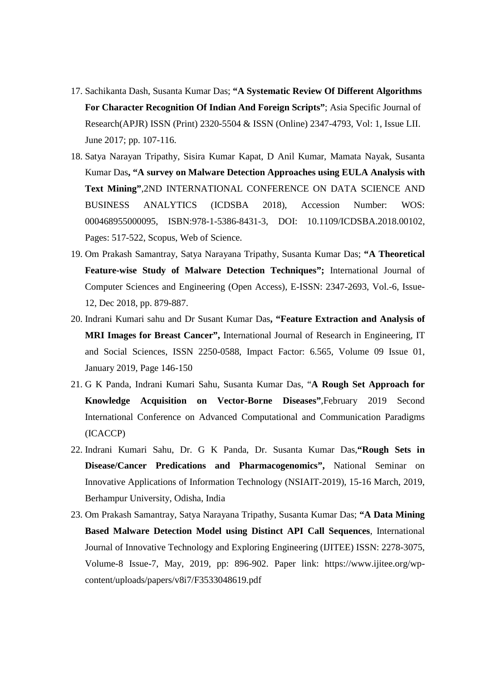- 17. Sachikanta Dash, Susanta Kumar Das; **"A Systematic Review Of Different Algorithms For Character Recognition Of Indian And Foreign Scripts"**; Asia Specific Journal of Research(APJR) ISSN (Print) 2320-5504 & ISSN (Online) 2347-4793, Vol: 1, Issue LII. June 2017; pp. 107-116.
- 18. Satya Narayan Tripathy, Sisira Kumar Kapat, D Anil Kumar, Mamata Nayak, Susanta Kumar Das**, "A survey on Malware Detection Approaches using EULA Analysis with Text Mining"**,2ND INTERNATIONAL CONFERENCE ON DATA SCIENCE AND BUSINESS ANALYTICS (ICDSBA 2018), Accession Number: WOS: 000468955000095, ISBN:978-1-5386-8431-3, DOI: 10.1109/ICDSBA.2018.00102, Pages: 517-522, Scopus, Web of Science.
- 19. Om Prakash Samantray, Satya Narayana Tripathy, Susanta Kumar Das; **"A Theoretical Feature-wise Study of Malware Detection Techniques";** International Journal of Computer Sciences and Engineering (Open Access), E-ISSN: 2347-2693, Vol.-6, Issue-12, Dec 2018, pp. 879-887.
- 20. Indrani Kumari sahu and Dr Susant Kumar Das**, "Feature Extraction and Analysis of MRI Images for Breast Cancer",** International Journal of Research in Engineering, IT and Social Sciences, ISSN 2250-0588, Impact Factor: 6.565, Volume 09 Issue 01, January 2019, Page 146-150
- 21. G K Panda, Indrani Kumari Sahu, Susanta Kumar Das, "**A Rough Set Approach for Knowledge Acquisition on Vector-Borne Diseases"**,February 2019 Second International Conference on Advanced Computational and Communication Paradigms (ICACCP)
- 22. Indrani Kumari Sahu, Dr. G K Panda, Dr. Susanta Kumar Das,**"Rough Sets in Disease/Cancer Predications and Pharmacogenomics",** National Seminar on Innovative Applications of Information Technology (NSIAIT-2019), 15-16 March, 2019, Berhampur University, Odisha, India
- 23. Om Prakash Samantray, Satya Narayana Tripathy, Susanta Kumar Das; **"A Data Mining Based Malware Detection Model using Distinct API Call Sequences**, International Journal of Innovative Technology and Exploring Engineering (IJITEE) ISSN: 2278-3075, Volume-8 Issue-7, May, 2019, pp: 896-902. Paper link: https://www.ijitee.org/wpcontent/uploads/papers/v8i7/F3533048619.pdf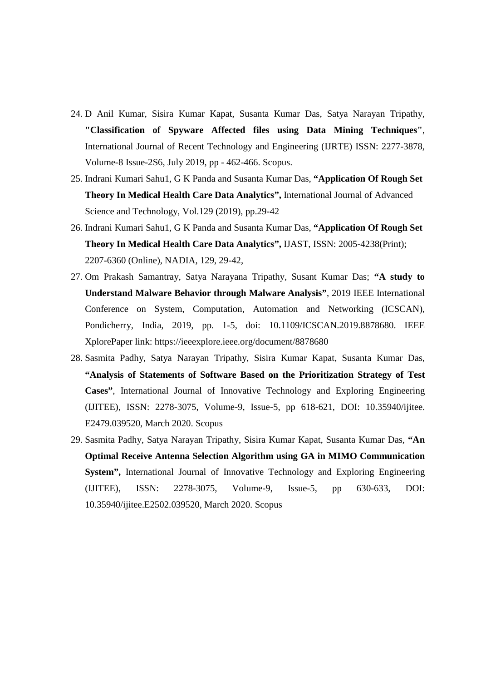- 24. D Anil Kumar, Sisira Kumar Kapat, Susanta Kumar Das, Satya Narayan Tripathy, **"Classification of Spyware Affected files using Data Mining Techniques"**, International Journal of Recent Technology and Engineering (IJRTE) ISSN: 2277-3878, Volume-8 Issue-2S6, July 2019, pp - 462-466. Scopus.
- 25. Indrani Kumari Sahu1, G K Panda and Susanta Kumar Das, **"Application Of Rough Set Theory In Medical Health Care Data Analytics",** International Journal of Advanced Science and Technology, Vol.129 (2019), pp.29-42
- 26. Indrani Kumari Sahu1, G K Panda and Susanta Kumar Das, **"Application Of Rough Set Theory In Medical Health Care Data Analytics",** IJAST, ISSN: 2005-4238(Print); 2207-6360 (Online), NADIA, 129, 29-42,
- 27. Om Prakash Samantray, Satya Narayana Tripathy, Susant Kumar Das; **"A study to Understand Malware Behavior through Malware Analysis"**, 2019 IEEE International Conference on System, Computation, Automation and Networking (ICSCAN), Pondicherry, India, 2019, pp. 1-5, doi: 10.1109/ICSCAN.2019.8878680. IEEE XplorePaper link: https://ieeexplore.ieee.org/document/8878680
- 28. Sasmita Padhy, Satya Narayan Tripathy, Sisira Kumar Kapat, Susanta Kumar Das, **"Analysis of Statements of Software Based on the Prioritization Strategy of Test Cases"**, International Journal of Innovative Technology and Exploring Engineering (IJITEE), ISSN: 2278-3075, Volume-9, Issue-5, pp 618-621, DOI: 10.35940/ijitee. E2479.039520, March 2020. Scopus
- 29. Sasmita Padhy, Satya Narayan Tripathy, Sisira Kumar Kapat, Susanta Kumar Das, **"An Optimal Receive Antenna Selection Algorithm using GA in MIMO Communication System",** International Journal of Innovative Technology and Exploring Engineering (IJITEE), ISSN: 2278-3075, Volume-9, Issue-5, pp 630-633, DOI: 10.35940/ijitee.E2502.039520, March 2020. Scopus